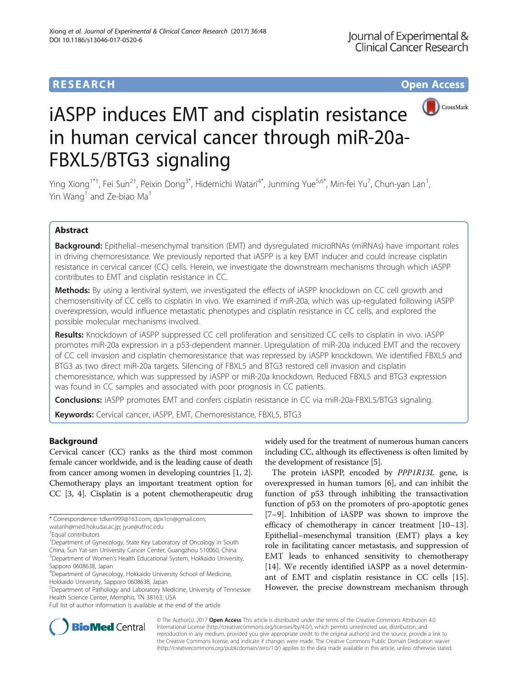



# iASPP induces EMT and cisplatin resistance in human cervical cancer through miR-20a-FBXL5/BTG3 signaling

Ying Xiong<sup>1\*†</sup>, Fei Sun<sup>2†</sup>, Peixin Dong<sup>3\*</sup>, Hidemichi Watari<sup>4\*</sup>, Junming Yue<sup>5,6\*</sup>, Min-fei Yu<sup>7</sup>, Chun-yan Lan<sup>1</sup> , Yin Wang<sup>1</sup> and Ze-biao Ma<sup>1</sup>

## Abstract

Background: Epithelial–mesenchymal transition (EMT) and dysregulated microRNAs (miRNAs) have important roles in driving chemoresistance. We previously reported that iASPP is a key EMT inducer and could increase cisplatin resistance in cervical cancer (CC) cells. Herein, we investigate the downstream mechanisms through which iASPP contributes to EMT and cisplatin resistance in CC.

**Methods:** By using a lentiviral system, we investigated the effects of iASPP knockdown on CC cell growth and chemosensitivity of CC cells to cisplatin in vivo. We examined if miR-20a, which was up-regulated following iASPP overexpression, would influence metastatic phenotypes and cisplatin resistance in CC cells, and explored the possible molecular mechanisms involved.

Results: Knockdown of iASPP suppressed CC cell proliferation and sensitized CC cells to cisplatin in vivo. iASPP promotes miR-20a expression in a p53-dependent manner. Upregulation of miR-20a induced EMT and the recovery of CC cell invasion and cisplatin chemoresistance that was repressed by iASPP knockdown. We identified FBXL5 and BTG3 as two direct miR-20a targets. Silencing of FBXL5 and BTG3 restored cell invasion and cisplatin chemoresistance, which was suppressed by iASPP or miR-20a knockdown. Reduced FBXL5 and BTG3 expression was found in CC samples and associated with poor prognosis in CC patients.

**Conclusions:** iASPP promotes EMT and confers cisplatin resistance in CC via miR-20a-FBXL5/BTG3 signaling.

Keywords: Cervical cancer, iASPP, EMT, Chemoresistance, FBXL5, BTG3

## Background

Cervical cancer (CC) ranks as the third most common female cancer worldwide, and is the leading cause of death from cancer among women in developing countries [[1, 2](#page-8-0)]. Chemotherapy plays an important treatment option for CC [[3](#page-8-0), [4](#page-8-0)]. Cisplatin is a potent chemotherapeutic drug

<sup>1</sup>Department of Gynecology, State Key Laboratory of Oncology in South China, Sun Yat-sen University Cancer Center, Guangzhou 510060, China <sup>3</sup>Department of Women's Health Educational System, Hokkaido University, Sapporo 0608638, Japan

5 Department of Pathology and Laboratory Medicine, University of Tennessee Health Science Center, Memphis, TN 38163, USA

widely used for the treatment of numerous human cancers including CC, although its effectiveness is often limited by the development of resistance [[5](#page-8-0)].

The protein iASPP, encoded by PPP1R13L gene, is overexpressed in human tumors [\[6](#page-8-0)], and can inhibit the function of p53 through inhibiting the transactivation function of p53 on the promoters of pro-apoptotic genes [[7](#page-9-0)–[9\]](#page-9-0). Inhibition of iASPP was shown to improve the efficacy of chemotherapy in cancer treatment [[10](#page-9-0)–[13](#page-9-0)]. Epithelial–mesenchymal transition (EMT) plays a key role in facilitating cancer metastasis, and suppression of EMT leads to enhanced sensitivity to chemotherapy [[14\]](#page-9-0). We recently identified iASPP as a novel determinant of EMT and cisplatin resistance in CC cells [\[15](#page-9-0)]. However, the precise downstream mechanism through



© The Author(s). 2017 **Open Access** This article is distributed under the terms of the Creative Commons Attribution 4.0 International License [\(http://creativecommons.org/licenses/by/4.0/](http://creativecommons.org/licenses/by/4.0/)), which permits unrestricted use, distribution, and reproduction in any medium, provided you give appropriate credit to the original author(s) and the source, provide a link to the Creative Commons license, and indicate if changes were made. The Creative Commons Public Domain Dedication waiver [\(http://creativecommons.org/publicdomain/zero/1.0/](http://creativecommons.org/publicdomain/zero/1.0/)) applies to the data made available in this article, unless otherwise stated.

<sup>\*</sup> Correspondence: [tdken999@163.com](mailto:tdken999@163.com); [dpx1cn@gmail.com](mailto:dpx1cn@gmail.com);

[watarih@med.hokudai.ac.jp;](mailto:watarih@med.hokudai.ac.jp) [jyue@uthsc.edu](mailto:jyue@uthsc.edu) †

Equal contributors

<sup>4</sup> Department of Gynecology, Hokkaido University School of Medicine, Hokkaido University, Sapporo 0608638, Japan

Full list of author information is available at the end of the article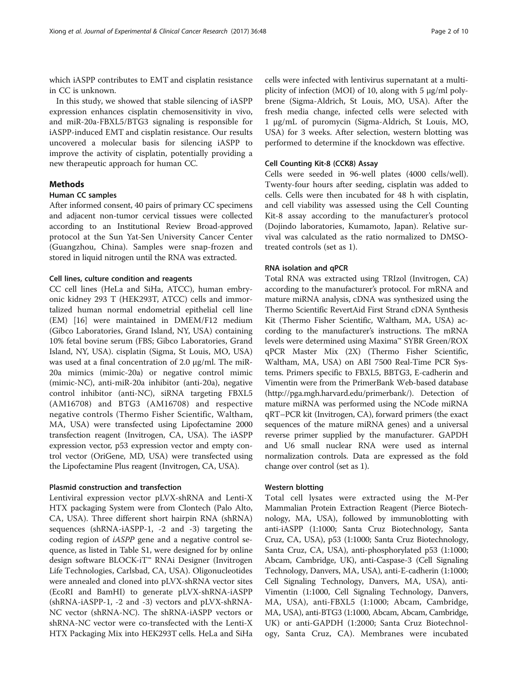which iASPP contributes to EMT and cisplatin resistance in CC is unknown.

In this study, we showed that stable silencing of iASPP expression enhances cisplatin chemosensitivity in vivo, and miR-20a-FBXL5/BTG3 signaling is responsible for iASPP-induced EMT and cisplatin resistance. Our results uncovered a molecular basis for silencing iASPP to improve the activity of cisplatin, potentially providing a new therapeutic approach for human CC.

## Methods

## Human CC samples

After informed consent, 40 pairs of primary CC specimens and adjacent non-tumor cervical tissues were collected according to an Institutional Review Broad-approved protocol at the Sun Yat-Sen University Cancer Center (Guangzhou, China). Samples were snap-frozen and stored in liquid nitrogen until the RNA was extracted.

## Cell lines, culture condition and reagents

CC cell lines (HeLa and SiHa, ATCC), human embryonic kidney 293 T (HEK293T, ATCC) cells and immortalized human normal endometrial epithelial cell line (EM) [[16\]](#page-9-0) were maintained in DMEM/F12 medium (Gibco Laboratories, Grand Island, NY, USA) containing 10% fetal bovine serum (FBS; Gibco Laboratories, Grand Island, NY, USA). cisplatin (Sigma, St Louis, MO, USA) was used at a final concentration of 2.0 μg/ml. The miR-20a mimics (mimic-20a) or negative control mimic (mimic-NC), anti-miR-20a inhibitor (anti-20a), negative control inhibitor (anti-NC), siRNA targeting FBXL5 (AM16708) and BTG3 (AM16708) and respective negative controls (Thermo Fisher Scientific, Waltham, MA, USA) were transfected using Lipofectamine 2000 transfection reagent (Invitrogen, CA, USA). The iASPP expression vector, p53 expression vector and empty control vector (OriGene, MD, USA) were transfected using the Lipofectamine Plus reagent (Invitrogen, CA, USA).

## Plasmid construction and transfection

Lentiviral expression vector pLVX-shRNA and Lenti-X HTX packaging System were from Clontech (Palo Alto, CA, USA). Three different short hairpin RNA (shRNA) sequences (shRNA-iASPP-1, -2 and -3) targeting the coding region of iASPP gene and a negative control sequence, as listed in Table S1, were designed for by online design software BLOCK-iT™ RNAi Designer (Invitrogen Life Technologies, Carlsbad, CA, USA). Oligonucleotides were annealed and cloned into pLVX-shRNA vector sites (EcoRI and BamHI) to generate pLVX-shRNA-iASPP (shRNA-iASPP-1, -2 and -3) vectors and pLVX-shRNA-NC vector (shRNA-NC). The shRNA-iASPP vectors or shRNA-NC vector were co-transfected with the Lenti-X HTX Packaging Mix into HEK293T cells. HeLa and SiHa

cells were infected with lentivirus supernatant at a multiplicity of infection (MOI) of 10, along with 5 μg/ml polybrene (Sigma-Aldrich, St Louis, MO, USA). After the fresh media change, infected cells were selected with 1 μg/mL of puromycin (Sigma-Aldrich, St Louis, MO, USA) for 3 weeks. After selection, western blotting was performed to determine if the knockdown was effective.

## Cell Counting Kit-8 (CCK8) Assay

Cells were seeded in 96-well plates (4000 cells/well). Twenty-four hours after seeding, cisplatin was added to cells. Cells were then incubated for 48 h with cisplatin, and cell viability was assessed using the Cell Counting Kit-8 assay according to the manufacturer's protocol (Dojindo laboratories, Kumamoto, Japan). Relative survival was calculated as the ratio normalized to DMSOtreated controls (set as 1).

## RNA isolation and qPCR

Total RNA was extracted using TRIzol (Invitrogen, CA) according to the manufacturer's protocol. For mRNA and mature miRNA analysis, cDNA was synthesized using the Thermo Scientific RevertAid First Strand cDNA Synthesis Kit (Thermo Fisher Scientific, Waltham, MA, USA) according to the manufacturer's instructions. The mRNA levels were determined using Maxima™ SYBR Green/ROX qPCR Master Mix (2X) (Thermo Fisher Scientific, Waltham, MA, USA) on ABI 7500 Real-Time PCR Systems. Primers specific to FBXL5, BBTG3, E-cadherin and Vimentin were from the PrimerBank Web-based database ([http://pga.mgh.harvard.edu/primerbank/\)](http://pga.mgh.harvard.edu/primerbank/). Detection of mature miRNA was performed using the NCode miRNA qRT–PCR kit (Invitrogen, CA), forward primers (the exact sequences of the mature miRNA genes) and a universal reverse primer supplied by the manufacturer. GAPDH and U6 small nuclear RNA were used as internal normalization controls. Data are expressed as the fold change over control (set as 1).

## Western blotting

Total cell lysates were extracted using the M-Per Mammalian Protein Extraction Reagent (Pierce Biotechnology, MA, USA), followed by immunoblotting with anti-iASPP (1:1000; Santa Cruz Biotechnology, Santa Cruz, CA, USA), p53 (1:1000; Santa Cruz Biotechnology, Santa Cruz, CA, USA), anti-phosphorylated p53 (1:1000; Abcam, Cambridge, UK), anti-Caspase-3 (Cell Signaling Technology, Danvers, MA, USA), anti-E-cadherin (1:1000; Cell Signaling Technology, Danvers, MA, USA), anti-Vimentin (1:1000, Cell Signaling Technology, Danvers, MA, USA), anti-FBXL5 (1:1000; Abcam, Cambridge, MA, USA), anti-BTG3 (1:1000, Abcam, Abcam, Cambridge, UK) or anti-GAPDH (1:2000; Santa Cruz Biotechnology, Santa Cruz, CA). Membranes were incubated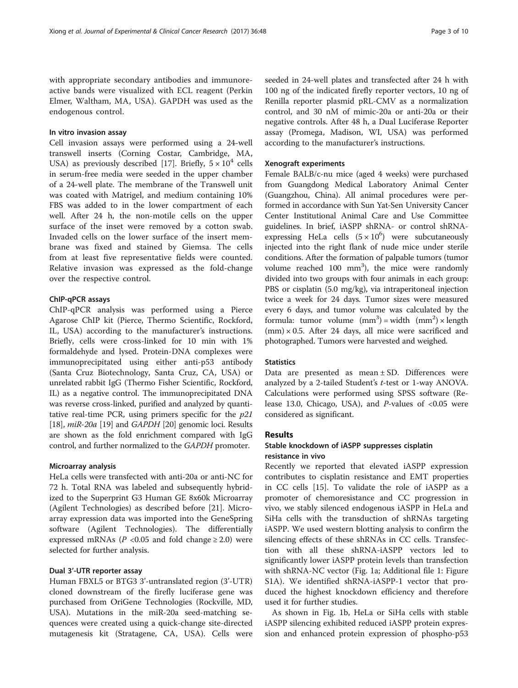with appropriate secondary antibodies and immunoreactive bands were visualized with ECL reagent (Perkin Elmer, Waltham, MA, USA). GAPDH was used as the endogenous control.

## In vitro invasion assay

Cell invasion assays were performed using a 24-well transwell inserts (Corning Costar, Cambridge, MA, USA) as previously described [\[17](#page-9-0)]. Briefly,  $5 \times 10^4$  cells in serum-free media were seeded in the upper chamber of a 24-well plate. The membrane of the Transwell unit was coated with Matrigel, and medium containing 10% FBS was added to in the lower compartment of each well. After 24 h, the non-motile cells on the upper surface of the inset were removed by a cotton swab. Invaded cells on the lower surface of the insert membrane was fixed and stained by Giemsa. The cells from at least five representative fields were counted. Relative invasion was expressed as the fold-change over the respective control.

## ChIP-qPCR assays

ChIP-qPCR analysis was performed using a Pierce Agarose ChIP kit (Pierce, Thermo Scientific, Rockford, IL, USA) according to the manufacturer's instructions. Briefly, cells were cross-linked for 10 min with 1% formaldehyde and lysed. Protein-DNA complexes were immunoprecipitated using either anti-p53 antibody (Santa Cruz Biotechnology, Santa Cruz, CA, USA) or unrelated rabbit IgG (Thermo Fisher Scientific, Rockford, IL) as a negative control. The immunoprecipitated DNA was reverse cross-linked, purified and analyzed by quantitative real-time PCR, using primers specific for the  $p21$ [[18](#page-9-0)], miR-20a [[19](#page-9-0)] and GAPDH [\[20\]](#page-9-0) genomic loci. Results are shown as the fold enrichment compared with IgG control, and further normalized to the GAPDH promoter.

## Microarray analysis

HeLa cells were transfected with anti-20a or anti-NC for 72 h. Total RNA was labeled and subsequently hybridized to the Superprint G3 Human GE 8x60k Microarray (Agilent Technologies) as described before [[21\]](#page-9-0). Microarray expression data was imported into the GeneSpring software (Agilent Technologies). The differentially expressed mRNAs ( $P < 0.05$  and fold change  $\geq 2.0$ ) were selected for further analysis.

## Dual 3'-UTR reporter assay

Human FBXL5 or BTG3 3'-untranslated region (3'-UTR) cloned downstream of the firefly luciferase gene was purchased from OriGene Technologies (Rockville, MD, USA). Mutations in the miR-20a seed-matching sequences were created using a quick-change site-directed mutagenesis kit (Stratagene, CA, USA). Cells were seeded in 24-well plates and transfected after 24 h with 100 ng of the indicated firefly reporter vectors, 10 ng of Renilla reporter plasmid pRL-CMV as a normalization control, and 30 nM of mimic-20a or anti-20a or their negative controls. After 48 h, a Dual Luciferase Reporter assay (Promega, Madison, WI, USA) was performed according to the manufacturer's instructions.

## Xenograft experiments

Female BALB/c-nu mice (aged 4 weeks) were purchased from Guangdong Medical Laboratory Animal Center (Guangzhou, China). All animal procedures were performed in accordance with Sun Yat-Sen University Cancer Center Institutional Animal Care and Use Committee guidelines. In brief, iASPP shRNA- or control shRNAexpressing HeLa cells  $(5 \times 10^6)$  were subcutaneously injected into the right flank of nude mice under sterile conditions. After the formation of palpable tumors (tumor volume reached  $100 \text{ mm}^3$ ), the mice were randomly divided into two groups with four animals in each group: PBS or cisplatin (5.0 mg/kg), via intraperitoneal injection twice a week for 24 days. Tumor sizes were measured every 6 days, and tumor volume was calculated by the formula: tumor volume  $(mm^3)$  = width  $(mm^2)$  × length  $(mm) \times 0.5$ . After 24 days, all mice were sacrificed and photographed. Tumors were harvested and weighed.

## **Statistics**

Data are presented as mean  $\pm$  SD. Differences were analyzed by a 2-tailed Student's t-test or 1-way ANOVA. Calculations were performed using SPSS software (Release 13.0, Chicago, USA), and  $P$ -values of <0.05 were considered as significant.

## Results

## Stable knockdown of iASPP suppresses cisplatin resistance in vivo

Recently we reported that elevated iASPP expression contributes to cisplatin resistance and EMT properties in CC cells [[15\]](#page-9-0). To validate the role of iASPP as a promoter of chemoresistance and CC progression in vivo, we stably silenced endogenous iASPP in HeLa and SiHa cells with the transduction of shRNAs targeting iASPP. We used western blotting analysis to confirm the silencing effects of these shRNAs in CC cells. Transfection with all these shRNA-iASPP vectors led to significantly lower iASPP protein levels than transfection with shRNA-NC vector (Fig. [1a](#page-3-0); Additional file [1](#page-8-0): Figure S1A). We identified shRNA-iASPP-1 vector that produced the highest knockdown efficiency and therefore used it for further studies.

As shown in Fig. [1b](#page-3-0), HeLa or SiHa cells with stable iASPP silencing exhibited reduced iASPP protein expression and enhanced protein expression of phospho-p53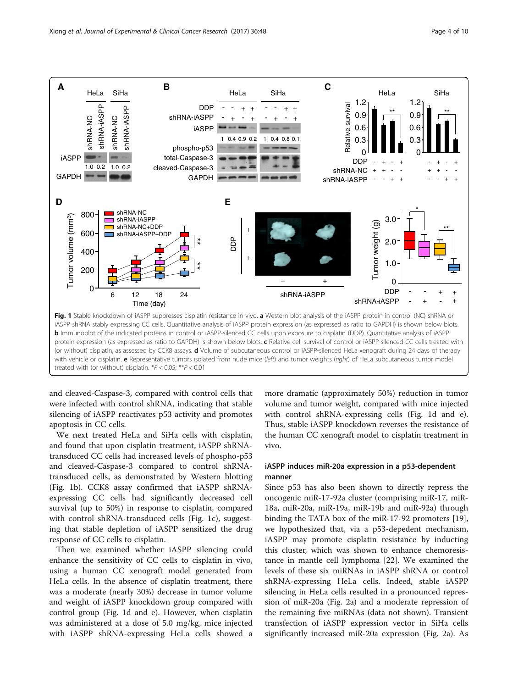<span id="page-3-0"></span>

and cleaved-Caspase-3, compared with control cells that were infected with control shRNA, indicating that stable silencing of iASPP reactivates p53 activity and promotes apoptosis in CC cells.

We next treated HeLa and SiHa cells with cisplatin, and found that upon cisplatin treatment, iASPP shRNAtransduced CC cells had increased levels of phospho-p53 and cleaved-Caspase-3 compared to control shRNAtransduced cells, as demonstrated by Western blotting (Fig. 1b). CCK8 assay confirmed that iASPP shRNAexpressing CC cells had significantly decreased cell survival (up to 50%) in response to cisplatin, compared with control shRNA-transduced cells (Fig. 1c), suggesting that stable depletion of iASPP sensitized the drug response of CC cells to cisplatin.

Then we examined whether iASPP silencing could enhance the sensitivity of CC cells to cisplatin in vivo, using a human CC xenograft model generated from HeLa cells. In the absence of cisplatin treatment, there was a moderate (nearly 30%) decrease in tumor volume and weight of iASPP knockdown group compared with control group (Fig. 1d and e). However, when cisplatin was administered at a dose of 5.0 mg/kg, mice injected with iASPP shRNA-expressing HeLa cells showed a

more dramatic (approximately 50%) reduction in tumor volume and tumor weight, compared with mice injected with control shRNA-expressing cells (Fig. 1d and e). Thus, stable iASPP knockdown reverses the resistance of the human CC xenograft model to cisplatin treatment in vivo.

## iASPP induces miR-20a expression in a p53-dependent manner

Since p53 has also been shown to directly repress the oncogenic miR-17-92a cluster (comprising miR-17, miR-18a, miR-20a, miR-19a, miR-19b and miR-92a) through binding the TATA box of the miR-17-92 promoters [\[19](#page-9-0)], we hypothesized that, via a p53-depedent mechanism, iASPP may promote cisplatin resistance by inducting this cluster, which was shown to enhance chemoresistance in mantle cell lymphoma [\[22](#page-9-0)]. We examined the levels of these six miRNAs in iASPP shRNA or control shRNA-expressing HeLa cells. Indeed, stable iASPP silencing in HeLa cells resulted in a pronounced repression of miR-20a (Fig. [2a](#page-4-0)) and a moderate repression of the remaining five miRNAs (data not shown). Transient transfection of iASPP expression vector in SiHa cells significantly increased miR-20a expression (Fig. [2a](#page-4-0)). As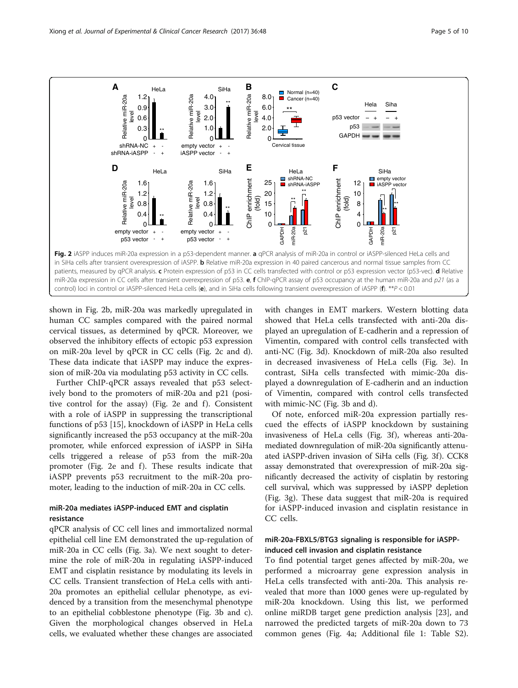<span id="page-4-0"></span>

shown in Fig. 2b, miR-20a was markedly upregulated in human CC samples compared with the paired normal cervical tissues, as determined by qPCR. Moreover, we observed the inhibitory effects of ectopic p53 expression on miR-20a level by qPCR in CC cells (Fig. 2c and d). These data indicate that iASPP may induce the expression of miR-20a via modulating p53 activity in CC cells.

Further ChIP-qPCR assays revealed that p53 selectively bond to the promoters of miR-20a and p21 (positive control for the assay) (Fig. 2e and  $f$ ). Consistent with a role of iASPP in suppressing the transcriptional functions of p53 [\[15](#page-9-0)], knockdown of iASPP in HeLa cells significantly increased the p53 occupancy at the miR-20a promoter, while enforced expression of iASPP in SiHa cells triggered a release of p53 from the miR-20a promoter (Fig. 2e and f). These results indicate that iASPP prevents p53 recruitment to the miR-20a promoter, leading to the induction of miR-20a in CC cells.

## miR-20a mediates iASPP-induced EMT and cisplatin resistance

qPCR analysis of CC cell lines and immortalized normal epithelial cell line EM demonstrated the up-regulation of miR-20a in CC cells (Fig. [3a](#page-5-0)). We next sought to determine the role of miR-20a in regulating iASPP-induced EMT and cisplatin resistance by modulating its levels in CC cells. Transient transfection of HeLa cells with anti-20a promotes an epithelial cellular phenotype, as evidenced by a transition from the mesenchymal phenotype to an epithelial cobblestone phenotype (Fig. [3b](#page-5-0) and [c](#page-5-0)). Given the morphological changes observed in HeLa cells, we evaluated whether these changes are associated

with changes in EMT markers. Western blotting data showed that HeLa cells transfected with anti-20a displayed an upregulation of E-cadherin and a repression of Vimentin, compared with control cells transfected with anti-NC (Fig. [3d\)](#page-5-0). Knockdown of miR-20a also resulted in decreased invasiveness of HeLa cells (Fig. [3e\)](#page-5-0). In contrast, SiHa cells transfected with mimic-20a displayed a downregulation of E-cadherin and an induction of Vimentin, compared with control cells transfected with mimic-NC (Fig. [3b](#page-5-0) and [d\)](#page-5-0).

Of note, enforced miR-20a expression partially rescued the effects of iASPP knockdown by sustaining invasiveness of HeLa cells (Fig. [3f](#page-5-0)), whereas anti-20amediated downregulation of miR-20a significantly attenu-ated iASPP-driven invasion of SiHa cells (Fig. [3f](#page-5-0)). CCK8 assay demonstrated that overexpression of miR-20a significantly decreased the activity of cisplatin by restoring cell survival, which was suppressed by iASPP depletion (Fig. [3g\)](#page-5-0). These data suggest that miR-20a is required for iASPP-induced invasion and cisplatin resistance in CC cells.

## miR-20a-FBXL5/BTG3 signaling is responsible for iASPPinduced cell invasion and cisplatin resistance

To find potential target genes affected by miR-20a, we performed a microarray gene expression analysis in HeLa cells transfected with anti-20a. This analysis revealed that more than 1000 genes were up-regulated by miR-20a knockdown. Using this list, we performed online miRDB target gene prediction analysis [\[23\]](#page-9-0), and narrowed the predicted targets of miR-20a down to 73 common genes (Fig. [4a;](#page-6-0) Additional file [1:](#page-8-0) Table S2).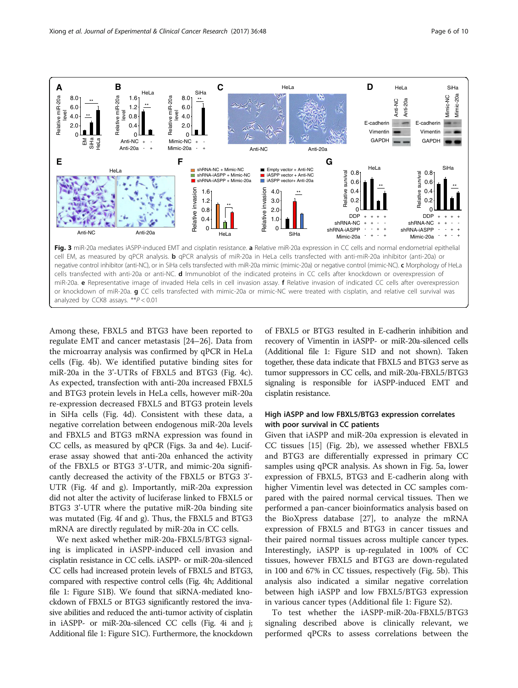<span id="page-5-0"></span>

Among these, FBXL5 and BTG3 have been reported to regulate EMT and cancer metastasis [[24](#page-9-0)–[26](#page-9-0)]. Data from the microarray analysis was confirmed by qPCR in HeLa cells (Fig. [4b](#page-6-0)). We identified putative binding sites for miR-20a in the 3'-UTRs of FBXL5 and BTG3 (Fig. [4c](#page-6-0)). As expected, transfection with anti-20a increased FBXL5 and BTG3 protein levels in HeLa cells, however miR-20a re-expression decreased FBXL5 and BTG3 protein levels in SiHa cells (Fig. [4d\)](#page-6-0). Consistent with these data, a negative correlation between endogenous miR-20a levels and FBXL5 and BTG3 mRNA expression was found in CC cells, as measured by qPCR (Figs. 3a and [4e](#page-6-0)). Luciferase assay showed that anti-20a enhanced the activity of the FBXL5 or BTG3 3'-UTR, and mimic-20a significantly decreased the activity of the FBXL5 or BTG3 3'- UTR (Fig. [4f](#page-6-0) and [g\)](#page-6-0). Importantly, miR-20a expression did not alter the activity of luciferase linked to FBXL5 or BTG3 3'-UTR where the putative miR-20a binding site was mutated (Fig. [4f](#page-6-0) and [g](#page-6-0)). Thus, the FBXL5 and BTG3 mRNA are directly regulated by miR-20a in CC cells.

We next asked whether miR-20a-FBXL5/BTG3 signaling is implicated in iASPP-induced cell invasion and cisplatin resistance in CC cells. iASPP- or miR-20a-silenced CC cells had increased protein levels of FBXL5 and BTG3, compared with respective control cells (Fig. [4h;](#page-6-0) Additional file [1](#page-8-0): Figure S1B). We found that siRNA-mediated knockdown of FBXL5 or BTG3 significantly restored the invasive abilities and reduced the anti-tumor activity of cisplatin in iASPP- or miR-20a-silenced CC cells (Fig. [4i](#page-6-0) and [j](#page-6-0); Additional file [1:](#page-8-0) Figure S1C). Furthermore, the knockdown of FBXL5 or BTG3 resulted in E-cadherin inhibition and recovery of Vimentin in iASPP- or miR-20a-silenced cells (Additional file [1](#page-8-0): Figure S1D and not shown). Taken together, these data indicate that FBXL5 and BTG3 serve as tumor suppressors in CC cells, and miR-20a-FBXL5/BTG3 signaling is responsible for iASPP-induced EMT and cisplatin resistance.

## High iASPP and low FBXL5/BTG3 expression correlates with poor survival in CC patients

Given that iASPP and miR-20a expression is elevated in CC tissues [[15](#page-9-0)] (Fig. [2b\)](#page-4-0), we assessed whether FBXL5 and BTG3 are differentially expressed in primary CC samples using qPCR analysis. As shown in Fig. [5a](#page-7-0), lower expression of FBXL5, BTG3 and E-cadherin along with higher Vimentin level was detected in CC samples compared with the paired normal cervical tissues. Then we performed a pan-cancer bioinformatics analysis based on the BioXpress database [[27\]](#page-9-0), to analyze the mRNA expression of FBXL5 and BTG3 in cancer tissues and their paired normal tissues across multiple cancer types. Interestingly, iASPP is up-regulated in 100% of CC tissues, however FBXL5 and BTG3 are down-regulated in 100 and 67% in CC tissues, respectively (Fig. [5b](#page-7-0)). This analysis also indicated a similar negative correlation between high iASPP and low FBXL5/BTG3 expression in various cancer types (Additional file [1:](#page-8-0) Figure S2).

To test whether the iASPP-miR-20a-FBXL5/BTG3 signaling described above is clinically relevant, we performed qPCRs to assess correlations between the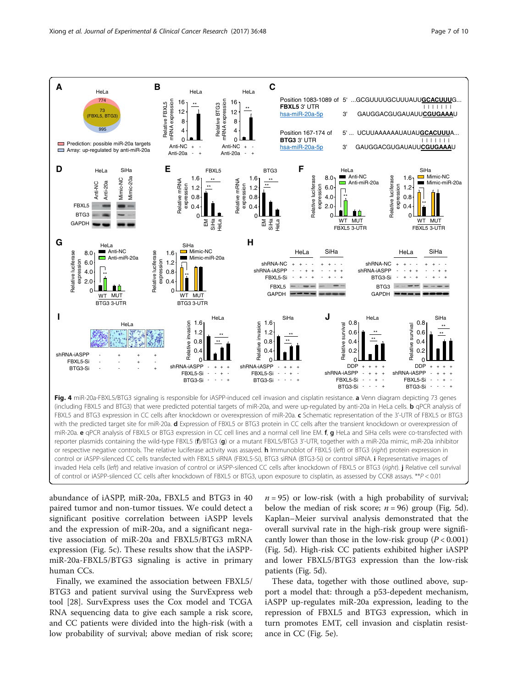<span id="page-6-0"></span>

abundance of iASPP, miR-20a, FBXL5 and BTG3 in 40 paired tumor and non-tumor tissues. We could detect a significant positive correlation between iASPP levels and the expression of miR-20a, and a significant negative association of miR-20a and FBXL5/BTG3 mRNA expression (Fig. [5c](#page-7-0)). These results show that the iASPPmiR-20a-FBXL5/BTG3 signaling is active in primary human CCs.

Finally, we examined the association between FBXL5/ BTG3 and patient survival using the SurvExpress web tool [\[28](#page-9-0)]. SurvExpress uses the Cox model and TCGA RNA sequencing data to give each sample a risk score, and CC patients were divided into the high-risk (with a low probability of survival; above median of risk score;  $n = 95$ ) or low-risk (with a high probability of survival; below the median of risk score;  $n = 96$ ) group (Fig. [5d](#page-7-0)). Kaplan–Meier survival analysis demonstrated that the overall survival rate in the high-risk group were significantly lower than those in the low-risk group  $(P < 0.001)$ (Fig. [5d](#page-7-0)). High-risk CC patients exhibited higher iASPP and lower FBXL5/BTG3 expression than the low-risk patients (Fig. [5d\)](#page-7-0).

These data, together with those outlined above, support a model that: through a p53-depedent mechanism, iASPP up-regulates miR-20a expression, leading to the repression of FBXL5 and BTG3 expression, which in turn promotes EMT, cell invasion and cisplatin resistance in CC (Fig. [5e](#page-7-0)).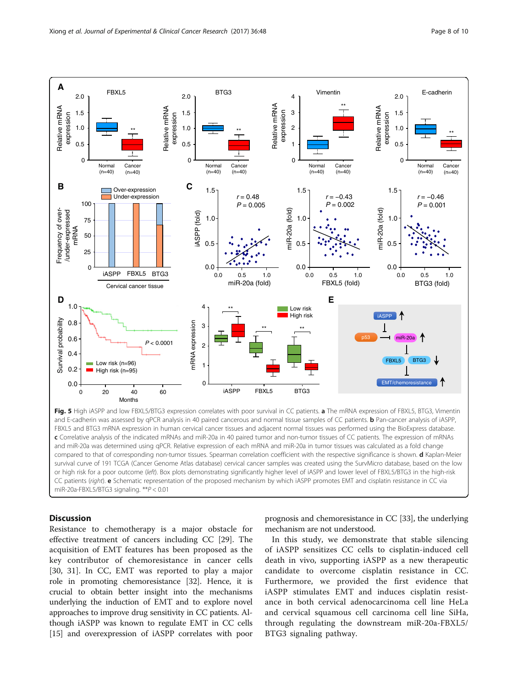<span id="page-7-0"></span>

compared to that of corresponding non-tumor tissues. Spearman correlation coefficient with the respective significance is shown. d Kaplan-Meier survival curve of 191 TCGA (Cancer Genome Atlas database) cervical cancer samples was created using the SurvMicro database, based on the low or high risk for a poor outcome (left). Box plots demonstrating significantly higher level of iASPP and lower level of FBXL5/BTG3 in the high-risk CC patients (right). <sup>e</sup> Schematic representation of the proposed mechanism by which iASPP promotes EMT and cisplatin resistance in CC via miR-20a-FBXL5/BTG3 signaling. \*\*P < 0.01

## **Discussion**

Resistance to chemotherapy is a major obstacle for effective treatment of cancers including CC [\[29\]](#page-9-0). The acquisition of EMT features has been proposed as the key contributor of chemoresistance in cancer cells [[30, 31](#page-9-0)]. In CC, EMT was reported to play a major role in promoting chemoresistance [\[32\]](#page-9-0). Hence, it is crucial to obtain better insight into the mechanisms underlying the induction of EMT and to explore novel approaches to improve drug sensitivity in CC patients. Although iASPP was known to regulate EMT in CC cells [[15](#page-9-0)] and overexpression of iASPP correlates with poor prognosis and chemoresistance in CC [[33](#page-9-0)], the underlying mechanism are not understood.

In this study, we demonstrate that stable silencing of iASPP sensitizes CC cells to cisplatin-induced cell death in vivo, supporting iASPP as a new therapeutic candidate to overcome cisplatin resistance in CC. Furthermore, we provided the first evidence that iASPP stimulates EMT and induces cisplatin resistance in both cervical adenocarcinoma cell line HeLa and cervical squamous cell carcinoma cell line SiHa, through regulating the downstream miR-20a-FBXL5/ BTG3 signaling pathway.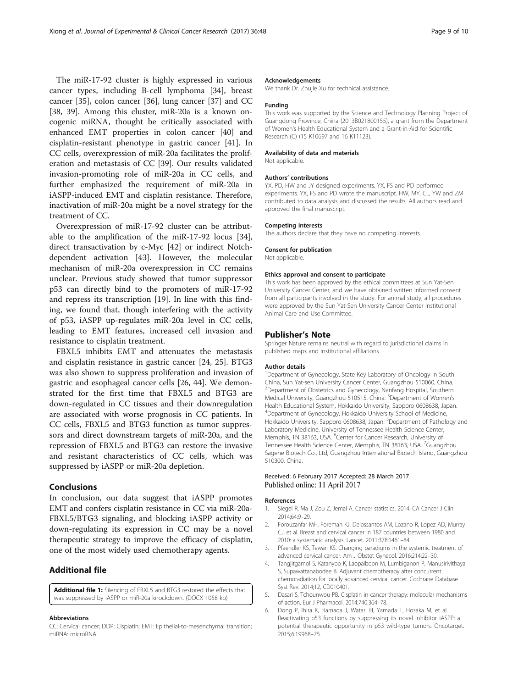<span id="page-8-0"></span>The miR-17-92 cluster is highly expressed in various cancer types, including B-cell lymphoma [[34\]](#page-9-0), breast cancer [\[35\]](#page-9-0), colon cancer [\[36](#page-9-0)], lung cancer [\[37\]](#page-9-0) and CC [[38, 39](#page-9-0)]. Among this cluster, miR-20a is a known oncogenic miRNA, thought be critically associated with enhanced EMT properties in colon cancer [\[40](#page-9-0)] and cisplatin-resistant phenotype in gastric cancer [[41](#page-9-0)]. In CC cells, overexpression of miR-20a facilitates the proliferation and metastasis of CC [[39\]](#page-9-0). Our results validated invasion-promoting role of miR-20a in CC cells, and further emphasized the requirement of miR-20a in iASPP-induced EMT and cisplatin resistance. Therefore, inactivation of miR-20a might be a novel strategy for the treatment of CC.

Overexpression of miR-17-92 cluster can be attributable to the amplification of the miR-17-92 locus [\[34](#page-9-0)], direct transactivation by c-Myc [[42](#page-9-0)] or indirect Notchdependent activation [[43\]](#page-9-0). However, the molecular mechanism of miR-20a overexpression in CC remains unclear. Previous study showed that tumor suppressor p53 can directly bind to the promoters of miR-17-92 and repress its transcription [[19\]](#page-9-0). In line with this finding, we found that, though interfering with the activity of p53, iASPP up-regulates miR-20a level in CC cells, leading to EMT features, increased cell invasion and resistance to cisplatin treatment.

FBXL5 inhibits EMT and attenuates the metastasis and cisplatin resistance in gastric cancer [[24, 25](#page-9-0)]. BTG3 was also shown to suppress proliferation and invasion of gastric and esophageal cancer cells [\[26, 44](#page-9-0)]. We demonstrated for the first time that FBXL5 and BTG3 are down-regulated in CC tissues and their downregulation are associated with worse prognosis in CC patients. In CC cells, FBXL5 and BTG3 function as tumor suppressors and direct downstream targets of miR-20a, and the repression of FBXL5 and BTG3 can restore the invasive and resistant characteristics of CC cells, which was suppressed by iASPP or miR-20a depletion.

## Conclusions

In conclusion, our data suggest that iASPP promotes EMT and confers cisplatin resistance in CC via miR-20a-FBXL5/BTG3 signaling, and blocking iASPP activity or down-regulating its expression in CC may be a novel therapeutic strategy to improve the efficacy of cisplatin, one of the most widely used chemotherapy agents.

## Additional file

[Additional file 1:](dx.doi.org/10.1186/s13046-017-0520-6) Silencing of FBXL5 and BTG3 restored the effects that was suppressed by iASPP or miR-20a knockdown. (DOCX 1058 kb)

#### Abbreviations

CC: Cervical cancer; DDP: Cisplatin; EMT: Epithelial-to-mesenchymal transition; miRNA: microRNA

#### Acknowledgements

We thank Dr. Zhujie Xu for technical assistance.

## Funding

This work was supported by the Science and Technology Planning Project of Guangdong Province, China (2013B021800155), a grant from the Department of Women's Health Educational System and a Grant-in-Aid for Scientific Research (C) (15 K10697 and 16 K11123).

## Availability of data and materials

Not applicable.

#### Authors' contributions

YX, PD, HW and JY designed experiments. YX, FS and PD performed experiments. YX, FS and PD wrote the manuscript. HW, MY, CL, YW and ZM contributed to data analysis and discussed the results. All authors read and approved the final manuscript.

#### Competing interests

The authors declare that they have no competing interests.

#### Consent for publication

Not applicable.

#### Ethics approval and consent to participate

This work has been approved by the ethical committees at Sun Yat-Sen University Cancer Center, and we have obtained written informed consent from all participants involved in the study. For animal study, all procedures were approved by the Sun Yat-Sen University Cancer Center Institutional Animal Care and Use Committee.

## Publisher's Note

Springer Nature remains neutral with regard to jurisdictional claims in published maps and institutional affiliations.

#### Author details

<sup>1</sup>Department of Gynecology, State Key Laboratory of Oncology in South China, Sun Yat-sen University Cancer Center, Guangzhou 510060, China. 2 Department of Obstetrics and Gynecology, Nanfang Hospital, Southern Medical University, Guangzhou 510515, China. <sup>3</sup>Department of Women's Health Educational System, Hokkaido University, Sapporo 0608638, Japan. 4 Department of Gynecology, Hokkaido University School of Medicine, Hokkaido University, Sapporo 0608638, Japan. <sup>5</sup>Department of Pathology and Laboratory Medicine, University of Tennessee Health Science Center, Memphis, TN 38163, USA. <sup>6</sup>Center for Cancer Research, University of Tennessee Health Science Center, Memphis, TN 38163, USA. <sup>7</sup>Guangzhou Sagene Biotech Co., Ltd, Guangzhou International Biotech Island, Guangzhou 510300, China.

## Received: 6 February 2017 Accepted: 28 March 2017 Published online: 11 April 2017

### References

- 1. Siegel R, Ma J, Zou Z, Jemal A. Cancer statistics, 2014. CA Cancer J Clin. 2014;64:9–29.
- 2. Forouzanfar MH, Foreman KJ, Delossantos AM, Lozano R, Lopez AD, Murray CJ, et al. Breast and cervical cancer in 187 countries between 1980 and 2010: a systematic analysis. Lancet. 2011;378:1461–84.
- 3. Pfaendler KS, Tewari KS. Changing paradigms in the systemic treatment of advanced cervical cancer. Am J Obstet Gynecol. 2016;214:22–30.
- 4. Tangjitgamol S, Katanyoo K, Laopaiboon M, Lumbiganon P, Manusirivithaya S, Supawattanabodee B. Adjuvant chemotherapy after concurrent chemoradiation for locally advanced cervical cancer. Cochrane Database Syst Rev. 2014;12, CD010401.
- 5. Dasari S, Tchounwou PB. Cisplatin in cancer therapy: molecular mechanisms of action. Eur J Pharmacol. 2014;740:364–78.
- 6. Dong P, Ihira K, Hamada J, Watari H, Yamada T, Hosaka M, et al. Reactivating p53 functions by suppressing its novel inhibitor iASPP: a potential therapeutic opportunity in p53 wild-type tumors. Oncotarget. 2015;6:19968–75.